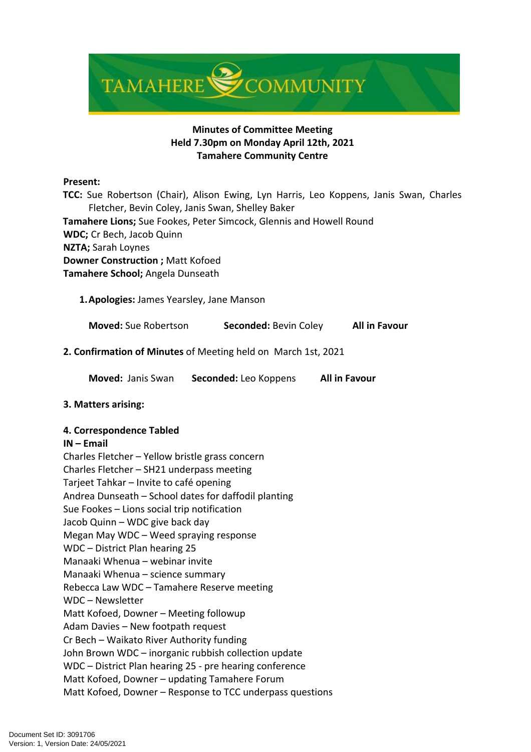

# **Minutes of Committee Meeting Held 7.30pm on Monday April 12th, 2021 Tamahere Community Centre**

#### **Present:**

 **TCC:** Sue Robertson (Chair), Alison Ewing, Lyn Harris, Leo Koppens, Janis Swan, Charles Fletcher, Bevin Coley, Janis Swan, Shelley Baker  **Tamahere Lions;** Sue Fookes, Peter Simcock, Glennis and Howell Round **WDC;** Cr Bech, Jacob Quinn **NZTA;** Sarah Loynes **Downer Construction ;** Matt Kofoed **Tamahere School;** Angela Dunseath

**1.Apologies:** James Yearsley, Jane Manson

**Moved:** Sue Robertson **Seconded:** Bevin Coley **All in Favour**

**2. Confirmation of Minutes** of Meeting held on March 1st, 2021

**Moved:** Janis Swan **Seconded:** Leo Koppens **All in Favour**

## **3. Matters arising:**

#### **4. Correspondence Tabled**

#### **IN – Email**

Charles Fletcher – Yellow bristle grass concern Charles Fletcher – SH21 underpass meeting Tarjeet Tahkar – Invite to café opening Andrea Dunseath – School dates for daffodil planting Sue Fookes – Lions social trip notification Jacob Quinn – WDC give back day Megan May WDC – Weed spraying response WDC – District Plan hearing 25 Manaaki Whenua – webinar invite Manaaki Whenua – science summary Rebecca Law WDC – Tamahere Reserve meeting WDC – Newsletter Matt Kofoed, Downer – Meeting followup Adam Davies – New footpath request Cr Bech – Waikato River Authority funding John Brown WDC – inorganic rubbish collection update WDC – District Plan hearing 25 - pre hearing conference Matt Kofoed, Downer – updating Tamahere Forum Matt Kofoed, Downer – Response to TCC underpass questions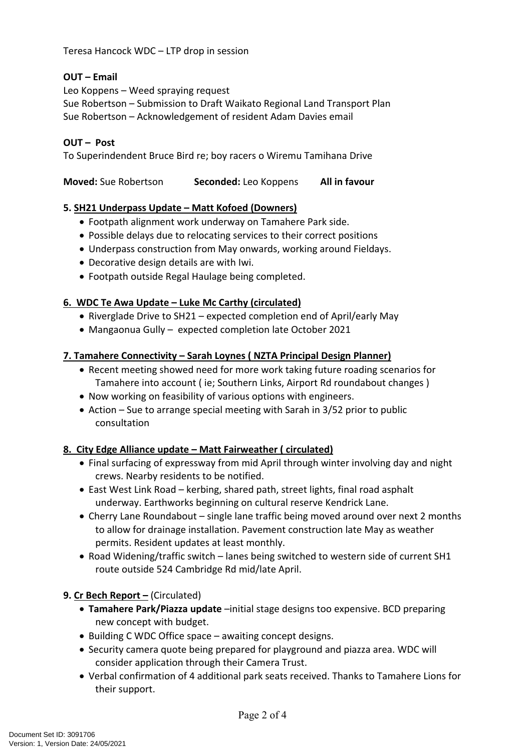Teresa Hancock WDC – LTP drop in session

# **OUT – Email**

Leo Koppens – Weed spraying request Sue Robertson – Submission to Draft Waikato Regional Land Transport Plan Sue Robertson – Acknowledgement of resident Adam Davies email

## **OUT – Post**

To Superindendent Bruce Bird re; boy racers o Wiremu Tamihana Drive

**Moved:** Sue Robertson **Seconded:** Leo Koppens **All in favour**

### **5. SH21 Underpass Update – Matt Kofoed (Downers)**

- Footpath alignment work underway on Tamahere Park side.
- Possible delays due to relocating services to their correct positions
- Underpass construction from May onwards, working around Fieldays.
- Decorative design details are with Iwi.
- Footpath outside Regal Haulage being completed.

### **6. WDC Te Awa Update – Luke Mc Carthy (circulated)**

- Riverglade Drive to SH21 expected completion end of April/early May
- Mangaonua Gully expected completion late October 2021

### **7. Tamahere Connectivity – Sarah Loynes ( NZTA Principal Design Planner)**

- Recent meeting showed need for more work taking future roading scenarios for Tamahere into account ( ie; Southern Links, Airport Rd roundabout changes )
- Now working on feasibility of various options with engineers.
- Action Sue to arrange special meeting with Sarah in 3/52 prior to public consultation

## **8. City Edge Alliance update – Matt Fairweather ( circulated)**

- Final surfacing of expressway from mid April through winter involving day and night crews. Nearby residents to be notified.
- East West Link Road kerbing, shared path, street lights, final road asphalt underway. Earthworks beginning on cultural reserve Kendrick Lane.
- Cherry Lane Roundabout single lane traffic being moved around over next 2 months to allow for drainage installation. Pavement construction late May as weather permits. Resident updates at least monthly.
- Road Widening/traffic switch lanes being switched to western side of current SH1 route outside 524 Cambridge Rd mid/late April.

## **9. Cr Bech Report –** (Circulated)

- **Tamahere Park/Piazza update** –initial stage designs too expensive. BCD preparing new concept with budget.
- Building C WDC Office space awaiting concept designs.
- Security camera quote being prepared for playground and piazza area. WDC will consider application through their Camera Trust.
- Verbal confirmation of 4 additional park seats received. Thanks to Tamahere Lions for their support.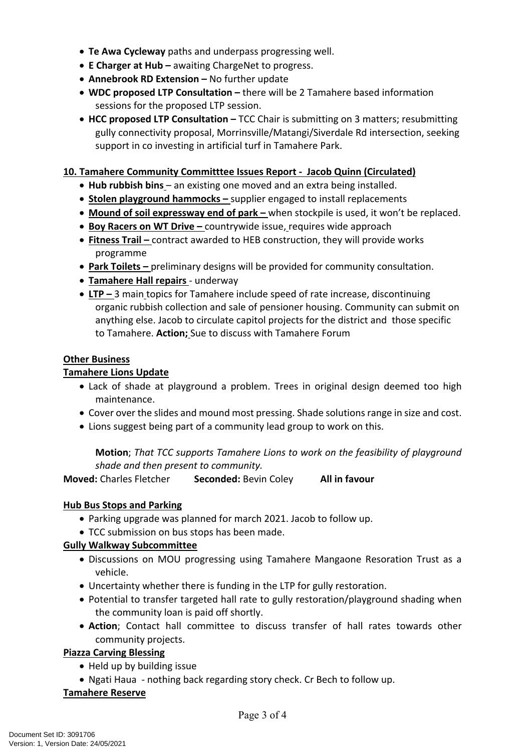- **Te Awa Cycleway** paths and underpass progressing well.
- **E Charger at Hub** awaiting ChargeNet to progress.
- **Annebrook RD Extension –** No further update
- **WDC proposed LTP Consultation –** there will be 2 Tamahere based information sessions for the proposed LTP session.
- **HCC proposed LTP Consultation –** TCC Chair is submitting on 3 matters; resubmitting gully connectivity proposal, Morrinsville/Matangi/Siverdale Rd intersection, seeking support in co investing in artificial turf in Tamahere Park.

## **10. Tamahere Community Committtee Issues Report - Jacob Quinn (Circulated)**

- **Hub rubbish bins**  an existing one moved and an extra being installed.
- **Stolen playground hammocks** supplier engaged to install replacements
- **Mound of soil expressway end of park** when stockpile is used, it won't be replaced.
- **Boy Racers on WT Drive** countrywide issue, requires wide approach
- **Fitness Trail** contract awarded to HEB construction, they will provide works programme
- **Park Toilets** preliminary designs will be provided for community consultation.
- **Tamahere Hall repairs**  underway
- **LTP** 3 main topics for Tamahere include speed of rate increase, discontinuing organic rubbish collection and sale of pensioner housing. Community can submit on anything else. Jacob to circulate capitol projects for the district and those specific to Tamahere. **Action;** Sue to discuss with Tamahere Forum

### **Other Business**

### **Tamahere Lions Update**

- Lack of shade at playground a problem. Trees in original design deemed too high maintenance.
- Cover over the slides and mound most pressing. Shade solutions range in size and cost.
- Lions suggest being part of a community lead group to work on this.

**Motion**; *That TCC supports Tamahere Lions to work on the feasibility of playground shade and then present to community.*

**Moved:** Charles Fletcher **Seconded:** Bevin Coley **All in favour**

#### **Hub Bus Stops and Parking**

- Parking upgrade was planned for march 2021. Jacob to follow up.
- TCC submission on bus stops has been made.

## **Gully Walkway Subcommittee**

- Discussions on MOU progressing using Tamahere Mangaone Resoration Trust as a vehicle.
- Uncertainty whether there is funding in the LTP for gully restoration.
- Potential to transfer targeted hall rate to gully restoration/playground shading when the community loan is paid off shortly.
- **Action**; Contact hall committee to discuss transfer of hall rates towards other community projects.

## **Piazza Carving Blessing**

- Held up by building issue
- Ngati Haua nothing back regarding story check. Cr Bech to follow up.

#### **Tamahere Reserve**